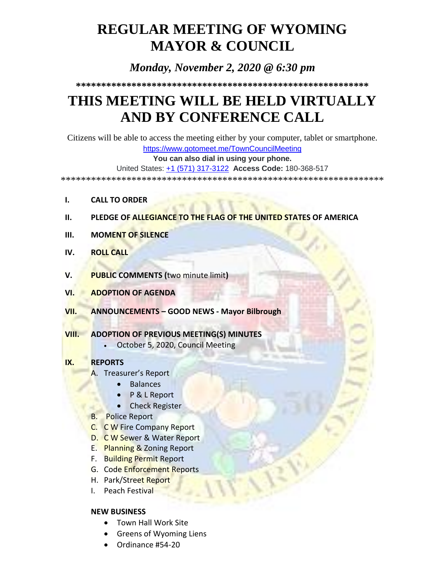# **REGULAR MEETING OF WYOMING MAYOR & COUNCIL**

# *Monday, November 2, 2020 @ 6:30 pm*

**\*\*\*\*\*\*\*\*\*\*\*\*\*\*\*\*\*\*\*\*\*\*\*\*\*\*\*\*\*\*\*\*\*\*\*\*\*\*\*\*\*\*\*\*\*\*\*\*\*\*\*\*\*\*\*\*\*\***

# **THIS MEETING WILL BE HELD VIRTUALLY AND BY CONFERENCE CALL**

Citizens will be able to access the meeting either by your computer, tablet or smartphone.

<https://www.gotomeet.me/TownCouncilMeeting>

**You can also dial in using your phone.**

United States: [+1 \(571\) 317-3122](tel:+15713173122,,180368517) **Access Code:** 180-368-517

\*\*\*\*\*\*\*\*\*\*\*\*\*\*\*\*\*\*\*\*\*\*\*\*\*\*\*\*\*\*\*\*\*\*\*\*\*\*\*\*\*\*\*\*\*\*\*\*\*\*\*\*\*\*\*\*\*\*\*\*\*\*\*\*

- **I. CALL TO ORDER**
- **II. PLEDGE OF ALLEGIANCE TO THE FLAG OF THE UNITED STATES OF AMERICA**
- **III. MOMENT OF SILENCE**
- **IV. ROLL CALL**
- **V. PUBLIC COMMENTS (**two minute limit**)**
- **VI. ADOPTION OF AGENDA**
- **VII. ANNOUNCEMENTS – GOOD NEWS - Mayor Bilbrough**
- **VIII. ADOPTION OF PREVIOUS MEETING(S) MINUTES**
	- October 5, 2020, Council Meeting

### **IX. REPORTS**

- A. Treasurer's Report
	- Balances
	- P & L Report
	- **•** Check Register
- B. Police Report
- C. C W Fire Company Report
- D. C W Sewer & Water Report
- E. Planning & Zoning Report
- F. Building Permit Report
- G. Code Enforcement Reports
- H. Park/Street Report
- I. Peach Festival

## **NEW BUSINESS**

- Town Hall Work Site
- Greens of Wyoming Liens
- Ordinance #54-20